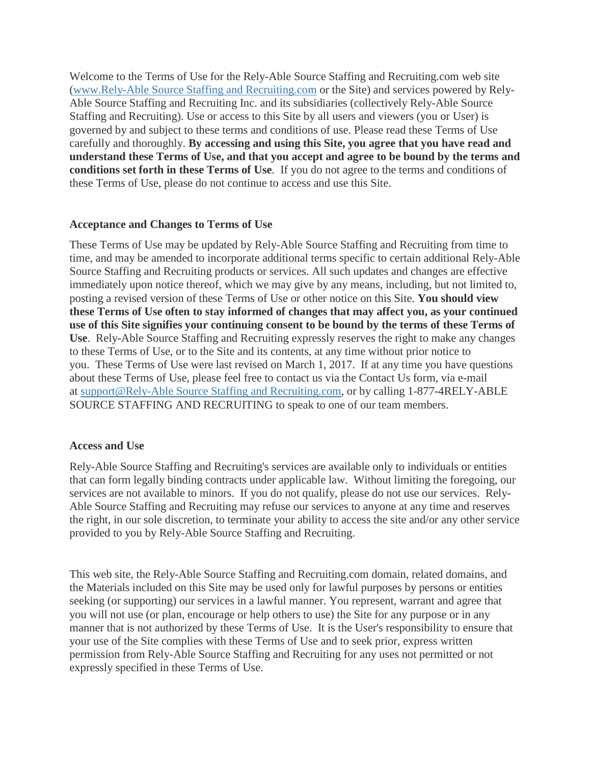Welcome to the Terms of Use for the Rely-Able Source Staffing and Recruiting.com web site [\(www.Rely-Able Source Staffing and Recruiting.com](http://www.kforce.com/) or the Site) and services powered by Rely-Able Source Staffing and Recruiting Inc. and its subsidiaries (collectively Rely-Able Source Staffing and Recruiting). Use or access to this Site by all users and viewers (you or User) is governed by and subject to these terms and conditions of use. Please read these Terms of Use carefully and thoroughly. **By accessing and using this Site, you agree that you have read and understand these Terms of Use, and that you accept and agree to be bound by the terms and conditions set forth in these Terms of Use**. If you do not agree to the terms and conditions of these Terms of Use, please do not continue to access and use this Site.

### **Acceptance and Changes to Terms of Use**

These Terms of Use may be updated by Rely-Able Source Staffing and Recruiting from time to time, and may be amended to incorporate additional terms specific to certain additional Rely-Able Source Staffing and Recruiting products or services. All such updates and changes are effective immediately upon notice thereof, which we may give by any means, including, but not limited to, posting a revised version of these Terms of Use or other notice on this Site. **You should view these Terms of Use often to stay informed of changes that may affect you, as your continued use of this Site signifies your continuing consent to be bound by the terms of these Terms of Use**. Rely-Able Source Staffing and Recruiting expressly reserves the right to make any changes to these Terms of Use, or to the Site and its contents, at any time without prior notice to you. These Terms of Use were last revised on March 1, 2017. If at any time you have questions about these Terms of Use, please feel free to contact us via the Contact Us form, via e-mail at [support@Rely-Able Source Staffing and Recruiting.com,](mailto:support@kforce.com) or by calling 1-877-4RELY-ABLE SOURCE STAFFING AND RECRUITING to speak to one of our team members.

# **Access and Use**

Rely-Able Source Staffing and Recruiting's services are available only to individuals or entities that can form legally binding contracts under applicable law. Without limiting the foregoing, our services are not available to minors. If you do not qualify, please do not use our services. Rely-Able Source Staffing and Recruiting may refuse our services to anyone at any time and reserves the right, in our sole discretion, to terminate your ability to access the site and/or any other service provided to you by Rely-Able Source Staffing and Recruiting.

This web site, the Rely-Able Source Staffing and Recruiting.com domain, related domains, and the Materials included on this Site may be used only for lawful purposes by persons or entities seeking (or supporting) our services in a lawful manner. You represent, warrant and agree that you will not use (or plan, encourage or help others to use) the Site for any purpose or in any manner that is not authorized by these Terms of Use. It is the User's responsibility to ensure that your use of the Site complies with these Terms of Use and to seek prior, express written permission from Rely-Able Source Staffing and Recruiting for any uses not permitted or not expressly specified in these Terms of Use.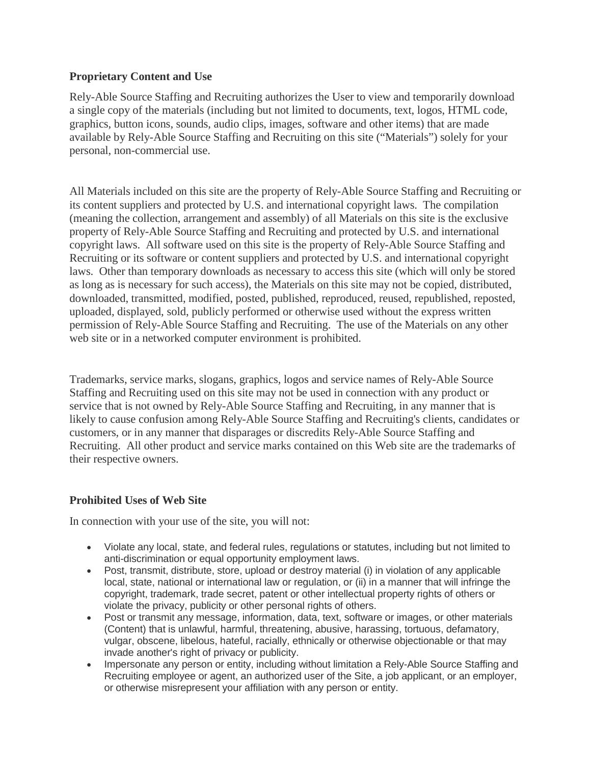## **Proprietary Content and Use**

Rely-Able Source Staffing and Recruiting authorizes the User to view and temporarily download a single copy of the materials (including but not limited to documents, text, logos, HTML code, graphics, button icons, sounds, audio clips, images, software and other items) that are made available by Rely-Able Source Staffing and Recruiting on this site ("Materials") solely for your personal, non-commercial use.

All Materials included on this site are the property of Rely-Able Source Staffing and Recruiting or its content suppliers and protected by U.S. and international copyright laws. The compilation (meaning the collection, arrangement and assembly) of all Materials on this site is the exclusive property of Rely-Able Source Staffing and Recruiting and protected by U.S. and international copyright laws. All software used on this site is the property of Rely-Able Source Staffing and Recruiting or its software or content suppliers and protected by U.S. and international copyright laws. Other than temporary downloads as necessary to access this site (which will only be stored as long as is necessary for such access), the Materials on this site may not be copied, distributed, downloaded, transmitted, modified, posted, published, reproduced, reused, republished, reposted, uploaded, displayed, sold, publicly performed or otherwise used without the express written permission of Rely-Able Source Staffing and Recruiting. The use of the Materials on any other web site or in a networked computer environment is prohibited.

Trademarks, service marks, slogans, graphics, logos and service names of Rely-Able Source Staffing and Recruiting used on this site may not be used in connection with any product or service that is not owned by Rely-Able Source Staffing and Recruiting, in any manner that is likely to cause confusion among Rely-Able Source Staffing and Recruiting's clients, candidates or customers, or in any manner that disparages or discredits Rely-Able Source Staffing and Recruiting. All other product and service marks contained on this Web site are the trademarks of their respective owners.

# **Prohibited Uses of Web Site**

In connection with your use of the site, you will not:

- Violate any local, state, and federal rules, regulations or statutes, including but not limited to anti-discrimination or equal opportunity employment laws.
- Post, transmit, distribute, store, upload or destroy material (i) in violation of any applicable local, state, national or international law or regulation, or (ii) in a manner that will infringe the copyright, trademark, trade secret, patent or other intellectual property rights of others or violate the privacy, publicity or other personal rights of others.
- Post or transmit any message, information, data, text, software or images, or other materials (Content) that is unlawful, harmful, threatening, abusive, harassing, tortuous, defamatory, vulgar, obscene, libelous, hateful, racially, ethnically or otherwise objectionable or that may invade another's right of privacy or publicity.
- Impersonate any person or entity, including without limitation a Rely-Able Source Staffing and Recruiting employee or agent, an authorized user of the Site, a job applicant, or an employer, or otherwise misrepresent your affiliation with any person or entity.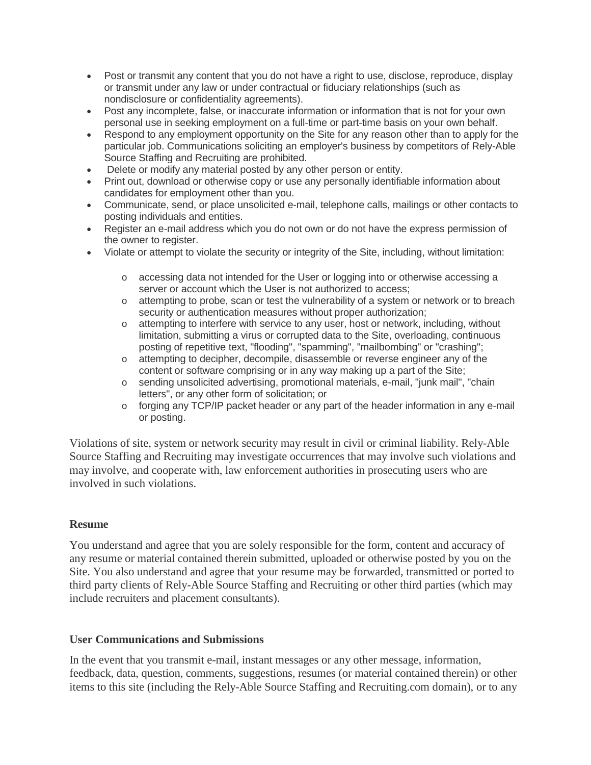- Post or transmit any content that you do not have a right to use, disclose, reproduce, display or transmit under any law or under contractual or fiduciary relationships (such as nondisclosure or confidentiality agreements).
- Post any incomplete, false, or inaccurate information or information that is not for your own personal use in seeking employment on a full-time or part-time basis on your own behalf.
- Respond to any employment opportunity on the Site for any reason other than to apply for the particular job. Communications soliciting an employer's business by competitors of Rely-Able Source Staffing and Recruiting are prohibited.
- Delete or modify any material posted by any other person or entity.
- Print out, download or otherwise copy or use any personally identifiable information about candidates for employment other than you.
- Communicate, send, or place unsolicited e-mail, telephone calls, mailings or other contacts to posting individuals and entities.
- Register an e-mail address which you do not own or do not have the express permission of the owner to register.
- Violate or attempt to violate the security or integrity of the Site, including, without limitation:
	- $\circ$  accessing data not intended for the User or logging into or otherwise accessing a server or account which the User is not authorized to access;
	- o attempting to probe, scan or test the vulnerability of a system or network or to breach security or authentication measures without proper authorization;
	- $\circ$  attempting to interfere with service to any user, host or network, including, without limitation, submitting a virus or corrupted data to the Site, overloading, continuous posting of repetitive text, "flooding", "spamming", "mailbombing" or "crashing";
	- o attempting to decipher, decompile, disassemble or reverse engineer any of the content or software comprising or in any way making up a part of the Site;
	- o sending unsolicited advertising, promotional materials, e-mail, "junk mail", "chain letters", or any other form of solicitation; or
	- o forging any TCP/IP packet header or any part of the header information in any e-mail or posting.

Violations of site, system or network security may result in civil or criminal liability. Rely-Able Source Staffing and Recruiting may investigate occurrences that may involve such violations and may involve, and cooperate with, law enforcement authorities in prosecuting users who are involved in such violations.

### **Resume**

You understand and agree that you are solely responsible for the form, content and accuracy of any resume or material contained therein submitted, uploaded or otherwise posted by you on the Site. You also understand and agree that your resume may be forwarded, transmitted or ported to third party clients of Rely-Able Source Staffing and Recruiting or other third parties (which may include recruiters and placement consultants).

### **User Communications and Submissions**

In the event that you transmit e-mail, instant messages or any other message, information, feedback, data, question, comments, suggestions, resumes (or material contained therein) or other items to this site (including the Rely-Able Source Staffing and Recruiting.com domain), or to any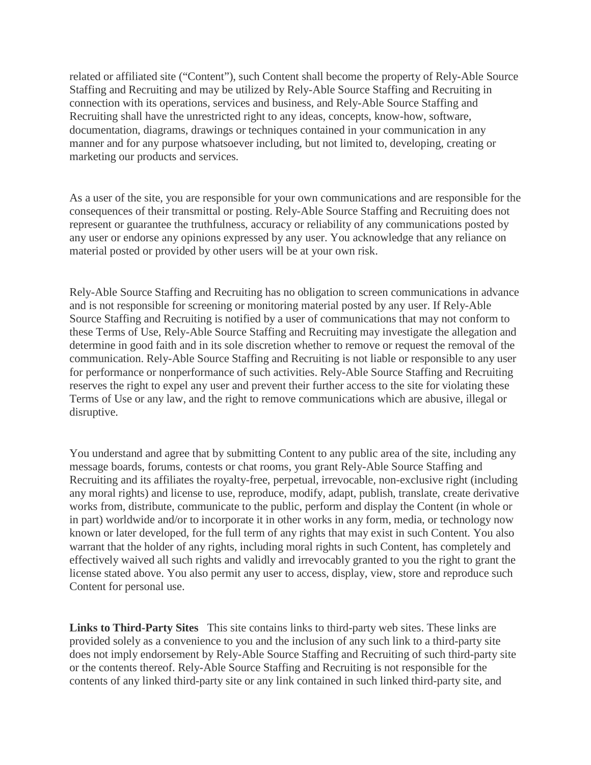related or affiliated site ("Content"), such Content shall become the property of Rely-Able Source Staffing and Recruiting and may be utilized by Rely-Able Source Staffing and Recruiting in connection with its operations, services and business, and Rely-Able Source Staffing and Recruiting shall have the unrestricted right to any ideas, concepts, know-how, software, documentation, diagrams, drawings or techniques contained in your communication in any manner and for any purpose whatsoever including, but not limited to, developing, creating or marketing our products and services.

As a user of the site, you are responsible for your own communications and are responsible for the consequences of their transmittal or posting. Rely-Able Source Staffing and Recruiting does not represent or guarantee the truthfulness, accuracy or reliability of any communications posted by any user or endorse any opinions expressed by any user. You acknowledge that any reliance on material posted or provided by other users will be at your own risk.

Rely-Able Source Staffing and Recruiting has no obligation to screen communications in advance and is not responsible for screening or monitoring material posted by any user. If Rely-Able Source Staffing and Recruiting is notified by a user of communications that may not conform to these Terms of Use, Rely-Able Source Staffing and Recruiting may investigate the allegation and determine in good faith and in its sole discretion whether to remove or request the removal of the communication. Rely-Able Source Staffing and Recruiting is not liable or responsible to any user for performance or nonperformance of such activities. Rely-Able Source Staffing and Recruiting reserves the right to expel any user and prevent their further access to the site for violating these Terms of Use or any law, and the right to remove communications which are abusive, illegal or disruptive.

You understand and agree that by submitting Content to any public area of the site, including any message boards, forums, contests or chat rooms, you grant Rely-Able Source Staffing and Recruiting and its affiliates the royalty-free, perpetual, irrevocable, non-exclusive right (including any moral rights) and license to use, reproduce, modify, adapt, publish, translate, create derivative works from, distribute, communicate to the public, perform and display the Content (in whole or in part) worldwide and/or to incorporate it in other works in any form, media, or technology now known or later developed, for the full term of any rights that may exist in such Content. You also warrant that the holder of any rights, including moral rights in such Content, has completely and effectively waived all such rights and validly and irrevocably granted to you the right to grant the license stated above. You also permit any user to access, display, view, store and reproduce such Content for personal use.

**Links to Third-Party Sites** This site contains links to third-party web sites. These links are provided solely as a convenience to you and the inclusion of any such link to a third-party site does not imply endorsement by Rely-Able Source Staffing and Recruiting of such third-party site or the contents thereof. Rely-Able Source Staffing and Recruiting is not responsible for the contents of any linked third-party site or any link contained in such linked third-party site, and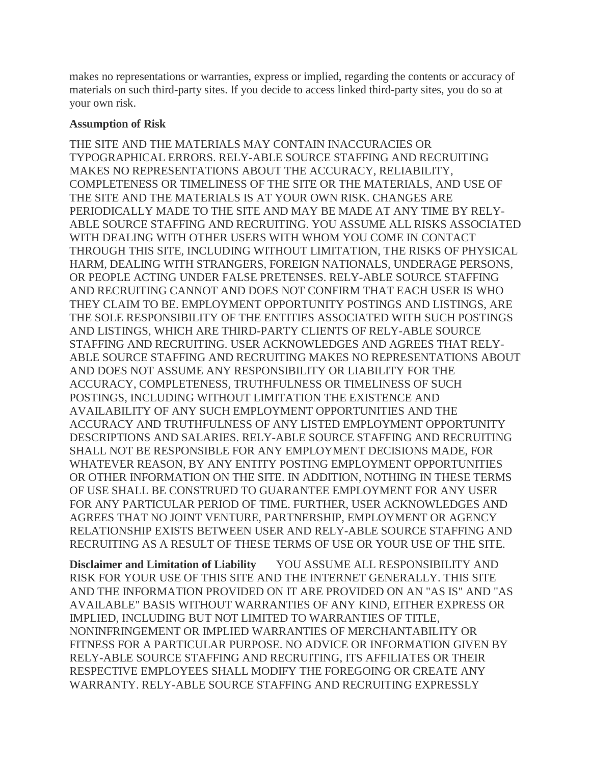makes no representations or warranties, express or implied, regarding the contents or accuracy of materials on such third-party sites. If you decide to access linked third-party sites, you do so at your own risk.

#### **Assumption of Risk**

THE SITE AND THE MATERIALS MAY CONTAIN INACCURACIES OR TYPOGRAPHICAL ERRORS. RELY-ABLE SOURCE STAFFING AND RECRUITING MAKES NO REPRESENTATIONS ABOUT THE ACCURACY, RELIABILITY, COMPLETENESS OR TIMELINESS OF THE SITE OR THE MATERIALS, AND USE OF THE SITE AND THE MATERIALS IS AT YOUR OWN RISK. CHANGES ARE PERIODICALLY MADE TO THE SITE AND MAY BE MADE AT ANY TIME BY RELY-ABLE SOURCE STAFFING AND RECRUITING. YOU ASSUME ALL RISKS ASSOCIATED WITH DEALING WITH OTHER USERS WITH WHOM YOU COME IN CONTACT THROUGH THIS SITE, INCLUDING WITHOUT LIMITATION, THE RISKS OF PHYSICAL HARM, DEALING WITH STRANGERS, FOREIGN NATIONALS, UNDERAGE PERSONS, OR PEOPLE ACTING UNDER FALSE PRETENSES. RELY-ABLE SOURCE STAFFING AND RECRUITING CANNOT AND DOES NOT CONFIRM THAT EACH USER IS WHO THEY CLAIM TO BE. EMPLOYMENT OPPORTUNITY POSTINGS AND LISTINGS, ARE THE SOLE RESPONSIBILITY OF THE ENTITIES ASSOCIATED WITH SUCH POSTINGS AND LISTINGS, WHICH ARE THIRD-PARTY CLIENTS OF RELY-ABLE SOURCE STAFFING AND RECRUITING. USER ACKNOWLEDGES AND AGREES THAT RELY-ABLE SOURCE STAFFING AND RECRUITING MAKES NO REPRESENTATIONS ABOUT AND DOES NOT ASSUME ANY RESPONSIBILITY OR LIABILITY FOR THE ACCURACY, COMPLETENESS, TRUTHFULNESS OR TIMELINESS OF SUCH POSTINGS, INCLUDING WITHOUT LIMITATION THE EXISTENCE AND AVAILABILITY OF ANY SUCH EMPLOYMENT OPPORTUNITIES AND THE ACCURACY AND TRUTHFULNESS OF ANY LISTED EMPLOYMENT OPPORTUNITY DESCRIPTIONS AND SALARIES. RELY-ABLE SOURCE STAFFING AND RECRUITING SHALL NOT BE RESPONSIBLE FOR ANY EMPLOYMENT DECISIONS MADE, FOR WHATEVER REASON, BY ANY ENTITY POSTING EMPLOYMENT OPPORTUNITIES OR OTHER INFORMATION ON THE SITE. IN ADDITION, NOTHING IN THESE TERMS OF USE SHALL BE CONSTRUED TO GUARANTEE EMPLOYMENT FOR ANY USER FOR ANY PARTICULAR PERIOD OF TIME. FURTHER, USER ACKNOWLEDGES AND AGREES THAT NO JOINT VENTURE, PARTNERSHIP, EMPLOYMENT OR AGENCY RELATIONSHIP EXISTS BETWEEN USER AND RELY-ABLE SOURCE STAFFING AND RECRUITING AS A RESULT OF THESE TERMS OF USE OR YOUR USE OF THE SITE.

**Disclaimer and Limitation of Liability** YOU ASSUME ALL RESPONSIBILITY AND RISK FOR YOUR USE OF THIS SITE AND THE INTERNET GENERALLY. THIS SITE AND THE INFORMATION PROVIDED ON IT ARE PROVIDED ON AN "AS IS" AND "AS AVAILABLE" BASIS WITHOUT WARRANTIES OF ANY KIND, EITHER EXPRESS OR IMPLIED, INCLUDING BUT NOT LIMITED TO WARRANTIES OF TITLE, NONINFRINGEMENT OR IMPLIED WARRANTIES OF MERCHANTABILITY OR FITNESS FOR A PARTICULAR PURPOSE. NO ADVICE OR INFORMATION GIVEN BY RELY-ABLE SOURCE STAFFING AND RECRUITING, ITS AFFILIATES OR THEIR RESPECTIVE EMPLOYEES SHALL MODIFY THE FOREGOING OR CREATE ANY WARRANTY. RELY-ABLE SOURCE STAFFING AND RECRUITING EXPRESSLY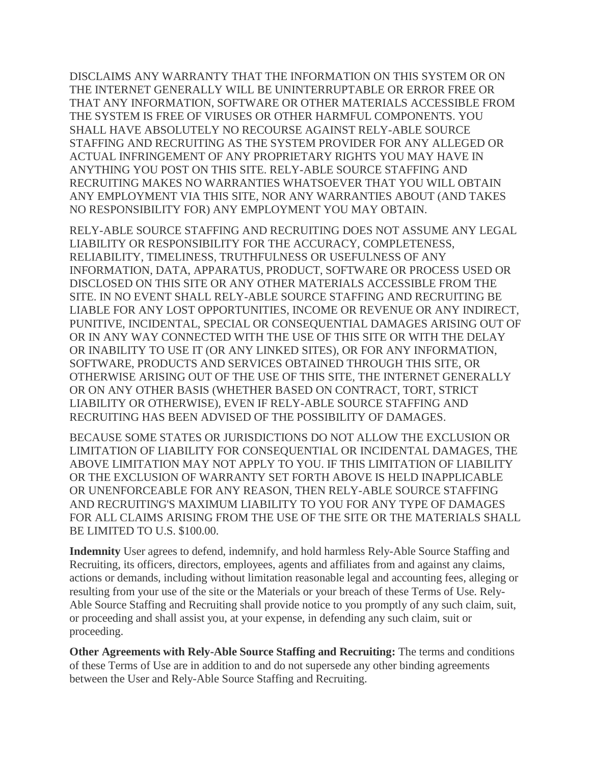DISCLAIMS ANY WARRANTY THAT THE INFORMATION ON THIS SYSTEM OR ON THE INTERNET GENERALLY WILL BE UNINTERRUPTABLE OR ERROR FREE OR THAT ANY INFORMATION, SOFTWARE OR OTHER MATERIALS ACCESSIBLE FROM THE SYSTEM IS FREE OF VIRUSES OR OTHER HARMFUL COMPONENTS. YOU SHALL HAVE ABSOLUTELY NO RECOURSE AGAINST RELY-ABLE SOURCE STAFFING AND RECRUITING AS THE SYSTEM PROVIDER FOR ANY ALLEGED OR ACTUAL INFRINGEMENT OF ANY PROPRIETARY RIGHTS YOU MAY HAVE IN ANYTHING YOU POST ON THIS SITE. RELY-ABLE SOURCE STAFFING AND RECRUITING MAKES NO WARRANTIES WHATSOEVER THAT YOU WILL OBTAIN ANY EMPLOYMENT VIA THIS SITE, NOR ANY WARRANTIES ABOUT (AND TAKES NO RESPONSIBILITY FOR) ANY EMPLOYMENT YOU MAY OBTAIN.

RELY-ABLE SOURCE STAFFING AND RECRUITING DOES NOT ASSUME ANY LEGAL LIABILITY OR RESPONSIBILITY FOR THE ACCURACY, COMPLETENESS, RELIABILITY, TIMELINESS, TRUTHFULNESS OR USEFULNESS OF ANY INFORMATION, DATA, APPARATUS, PRODUCT, SOFTWARE OR PROCESS USED OR DISCLOSED ON THIS SITE OR ANY OTHER MATERIALS ACCESSIBLE FROM THE SITE. IN NO EVENT SHALL RELY-ABLE SOURCE STAFFING AND RECRUITING BE LIABLE FOR ANY LOST OPPORTUNITIES, INCOME OR REVENUE OR ANY INDIRECT, PUNITIVE, INCIDENTAL, SPECIAL OR CONSEQUENTIAL DAMAGES ARISING OUT OF OR IN ANY WAY CONNECTED WITH THE USE OF THIS SITE OR WITH THE DELAY OR INABILITY TO USE IT (OR ANY LINKED SITES), OR FOR ANY INFORMATION, SOFTWARE, PRODUCTS AND SERVICES OBTAINED THROUGH THIS SITE, OR OTHERWISE ARISING OUT OF THE USE OF THIS SITE, THE INTERNET GENERALLY OR ON ANY OTHER BASIS (WHETHER BASED ON CONTRACT, TORT, STRICT LIABILITY OR OTHERWISE), EVEN IF RELY-ABLE SOURCE STAFFING AND RECRUITING HAS BEEN ADVISED OF THE POSSIBILITY OF DAMAGES.

BECAUSE SOME STATES OR JURISDICTIONS DO NOT ALLOW THE EXCLUSION OR LIMITATION OF LIABILITY FOR CONSEQUENTIAL OR INCIDENTAL DAMAGES, THE ABOVE LIMITATION MAY NOT APPLY TO YOU. IF THIS LIMITATION OF LIABILITY OR THE EXCLUSION OF WARRANTY SET FORTH ABOVE IS HELD INAPPLICABLE OR UNENFORCEABLE FOR ANY REASON, THEN RELY-ABLE SOURCE STAFFING AND RECRUITING'S MAXIMUM LIABILITY TO YOU FOR ANY TYPE OF DAMAGES FOR ALL CLAIMS ARISING FROM THE USE OF THE SITE OR THE MATERIALS SHALL BE LIMITED TO U.S. \$100.00.

**Indemnity** User agrees to defend, indemnify, and hold harmless Rely-Able Source Staffing and Recruiting, its officers, directors, employees, agents and affiliates from and against any claims, actions or demands, including without limitation reasonable legal and accounting fees, alleging or resulting from your use of the site or the Materials or your breach of these Terms of Use. Rely-Able Source Staffing and Recruiting shall provide notice to you promptly of any such claim, suit, or proceeding and shall assist you, at your expense, in defending any such claim, suit or proceeding.

**Other Agreements with Rely-Able Source Staffing and Recruiting:** The terms and conditions of these Terms of Use are in addition to and do not supersede any other binding agreements between the User and Rely-Able Source Staffing and Recruiting.